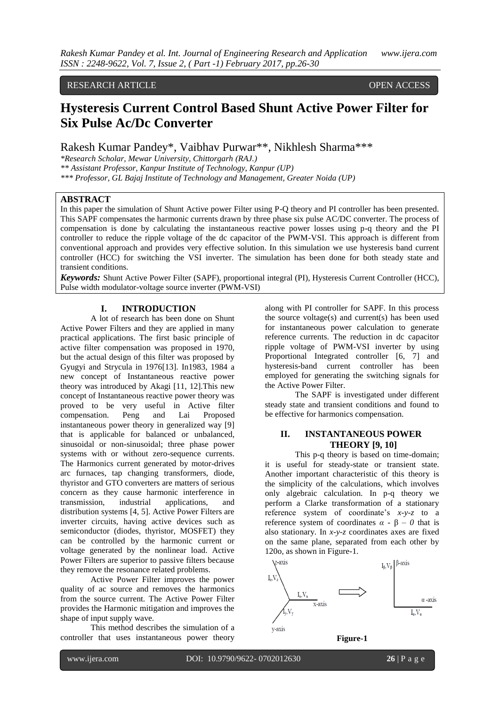#### RESEARCH ARTICLE **CONSERVERS** OPEN ACCESS

# **Hysteresis Current Control Based Shunt Active Power Filter for Six Pulse Ac/Dc Converter**

Rakesh Kumar Pandey\*, Vaibhav Purwar\*\*, Nikhlesh Sharma\*\*\*

*\*Research Scholar, Mewar University, Chittorgarh (RAJ.)*

*\*\* Assistant Professor, Kanpur Institute of Technology, Kanpur (UP)*

*\*\*\* Professor, GL Bajaj Institute of Technology and Management, Greater Noida (UP)* 

## **ABSTRACT**

In this paper the simulation of Shunt Active power Filter using P-Q theory and PI controller has been presented. This SAPF compensates the harmonic currents drawn by three phase six pulse AC/DC converter. The process of compensation is done by calculating the instantaneous reactive power losses using p-q theory and the PI controller to reduce the ripple voltage of the dc capacitor of the PWM-VSI. This approach is different from conventional approach and provides very effective solution. In this simulation we use hysteresis band current controller (HCC) for switching the VSI inverter. The simulation has been done for both steady state and transient conditions.

*Keywords:* Shunt Active Power Filter (SAPF), proportional integral (PI), Hysteresis Current Controller (HCC), Pulse width modulator-voltage source inverter (PWM-VSI)

#### **I. INTRODUCTION**

A lot of research has been done on Shunt Active Power Filters and they are applied in many practical applications. The first basic principle of active filter compensation was proposed in 1970, but the actual design of this filter was proposed by Gyugyi and Strycula in 1976[13]. In1983, 1984 a new concept of Instantaneous reactive power theory was introduced by Akagi [11, 12].This new concept of Instantaneous reactive power theory was proved to be very useful in Active filter compensation. Peng and Lai Proposed instantaneous power theory in generalized way [9] that is applicable for balanced or unbalanced, sinusoidal or non-sinusoidal; three phase power systems with or without zero-sequence currents. The Harmonics current generated by motor-drives arc furnaces, tap changing transformers, diode, thyristor and GTO converters are matters of serious concern as they cause harmonic interference in transmission, industrial applications, and distribution systems [4, 5]. Active Power Filters are inverter circuits, having active devices such as semiconductor (diodes, thyristor, MOSFET) they can be controlled by the harmonic current or voltage generated by the nonlinear load. Active Power Filters are superior to passive filters because they remove the resonance related problems.

Active Power Filter improves the power quality of ac source and removes the harmonics from the source current. The Active Power Filter provides the Harmonic mitigation and improves the shape of input supply wave.

This method describes the simulation of a controller that uses instantaneous power theory

along with PI controller for SAPF. In this process the source voltage(s) and current(s) has been used for instantaneous power calculation to generate reference currents. The reduction in dc capacitor ripple voltage of PWM-VSI inverter by using Proportional Integrated controller [6, 7] and hysteresis-band current controller has been employed for generating the switching signals for the Active Power Filter.

The SAPF is investigated under different steady state and transient conditions and found to be effective for harmonics compensation.

### **II. INSTANTANEOUS POWER THEORY [9, 10]**

This p-q theory is based on time-domain; it is useful for steady-state or transient state. Another important characteristic of this theory is the simplicity of the calculations, which involves only algebraic calculation. In p-q theory we perform a Clarke transformation of a stationary reference system of coordinate's *x-y-z* to a reference system of coordinates  $\alpha$  -  $\beta$  – 0 that is also stationary. In *x-y-z* coordinates axes are fixed on the same plane, separated from each other by 120o, as shown in Figure-1.



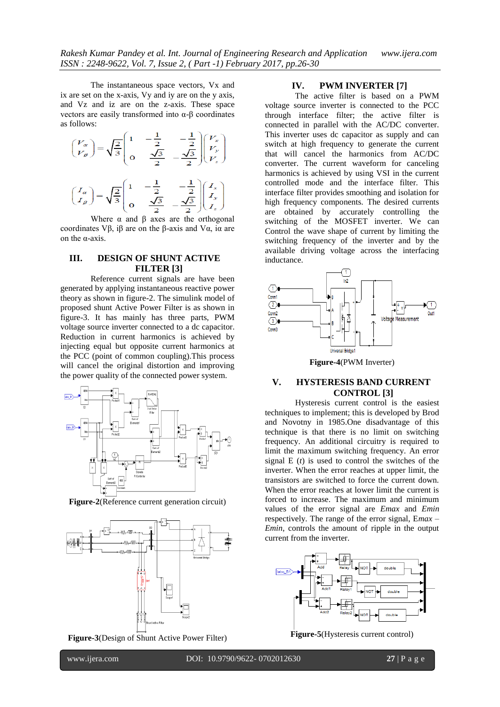The instantaneous space vectors, Vx and ix are set on the x-axis, Vy and iy are on the y axis, and Vz and iz are on the z-axis. These space vectors are easily transformed into α-β coordinates as follows:

$$
\begin{pmatrix} V_{\alpha} \\ V_{\beta} \end{pmatrix} = \sqrt{\frac{2}{3}} \begin{pmatrix} 1 & -\frac{1}{2} & -\frac{1}{2} \\ 0 & \frac{\sqrt{3}}{2} & -\frac{\sqrt{3}}{2} \end{pmatrix} \begin{pmatrix} V_x \\ V_y \\ V_z \end{pmatrix}
$$

$$
\begin{pmatrix} I_{\alpha} \\ I_{\beta} \end{pmatrix} = \sqrt{\frac{2}{3}} \begin{pmatrix} 1 & -\frac{1}{2} & -\frac{1}{2} \\ 0 & \frac{\sqrt{3}}{2} & -\frac{\sqrt{3}}{2} \end{pmatrix} \begin{pmatrix} I_x \\ I_y \\ I_z \end{pmatrix}
$$

Where  $\alpha$  and  $\beta$  axes are the orthogonal coordinates Vβ, iβ are on the β-axis and Vα, iα are on the α-axis.

# **III. DESIGN OF SHUNT ACTIVE FILTER [3]**

Reference current signals are have been generated by applying instantaneous reactive power theory as shown in figure-2. The simulink model of proposed shunt Active Power Filter is as shown in figure-3. It has mainly has three parts, PWM voltage source inverter connected to a dc capacitor. Reduction in current harmonics is achieved by injecting equal but opposite current harmonics at the PCC (point of common coupling).This process will cancel the original distortion and improving the power quality of the connected power system.



**Figure-2**(Reference current generation circuit)



**Figure-3**(Design of Shunt Active Power Filter)

## **IV. PWM INVERTER [7]**

The active filter is based on a PWM voltage source inverter is connected to the PCC through interface filter; the active filter is connected in parallel with the AC/DC converter. This inverter uses dc capacitor as supply and can switch at high frequency to generate the current that will cancel the harmonics from AC/DC converter. The current waveform for canceling harmonics is achieved by using VSI in the current controlled mode and the interface filter. This interface filter provides smoothing and isolation for high frequency components. The desired currents are obtained by accurately controlling the switching of the MOSFET inverter. We can Control the wave shape of current by limiting the switching frequency of the inverter and by the available driving voltage across the interfacing inductance.



**Figure-4**(PWM Inverter)

## **V. HYSTERESIS BAND CURRENT CONTROL [3]**

Hysteresis current control is the easiest techniques to implement; this is developed by Brod and Novotny in 1985.One disadvantage of this technique is that there is no limit on switching frequency. An additional circuitry is required to limit the maximum switching frequency. An error signal E (*t*) is used to control the switches of the inverter. When the error reaches at upper limit, the transistors are switched to force the current down. When the error reaches at lower limit the current is forced to increase. The maximum and minimum values of the error signal are *Emax* and *Emin*  respectively. The range of the error signal, E*max* – *Emin*, controls the amount of ripple in the output current from the inverter.



**Figure-5**(Hysteresis current control)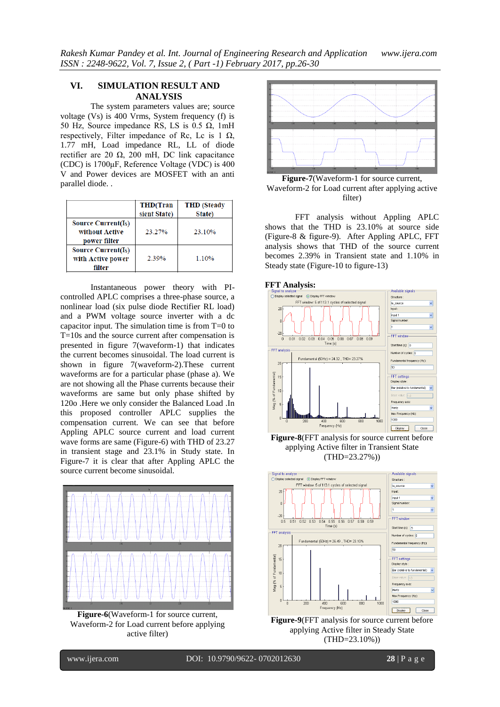## **VI. SIMULATION RESULT AND ANALYSIS**

The system parameters values are; source voltage (Vs) is 400 Vrms, System frequency (f) is 50 Hz, Source impedance RS, LS is 0.5  $Ω$ , 1mH respectively, Filter impedance of Rc, Lc is 1  $\Omega$ , 1.77 mH, Load impedance RL, LL of diode rectifier are 20  $\Omega$ , 200 mH, DC link capacitance (CDC) is 1700μF, Reference Voltage (VDC) is 400 V and Power devices are MOSFET with an anti parallel diode. .

|                                                         | <b>THD</b> (Tran<br>sient State) | <b>THD</b> (Steady<br>State) |
|---------------------------------------------------------|----------------------------------|------------------------------|
| Source Current $(IS)$<br>without Active<br>power filter | 23.27%                           | 23.10%                       |
| Source Current $(IS)$<br>with Active power<br>filter    | 2.39%                            | 1.10%                        |

Instantaneous power theory with PIcontrolled APLC comprises a three-phase source, a nonlinear load (six pulse diode Rectifier RL load) and a PWM voltage source inverter with a dc capacitor input. The simulation time is from T=0 to T=10s and the source current after compensation is presented in figure 7(waveform-1) that indicates the current becomes sinusoidal. The load current is shown in figure 7(waveform-2).These current waveforms are for a particular phase (phase a). We are not showing all the Phase currents because their waveforms are same but only phase shifted by 120o .Here we only consider the Balanced Load .In this proposed controller APLC supplies the compensation current. We can see that before Appling APLC source current and load current wave forms are same (Figure-6) with THD of 23.27 in transient stage and 23.1% in Study state. In Figure-7 it is clear that after Appling APLC the source current become sinusoidal.



**Figure-6**(Waveform-1 for source current, Waveform-2 for Load current before applying active filter)



**Figure-7**(Waveform-1 for source current, Waveform-2 for Load current after applying active filter)

FFT analysis without Appling APLC shows that the THD is 23.10% at source side (Figure-8 & figure-9). After Appling APLC, FFT analysis shows that THD of the source current becomes 2.39% in Transient state and 1.10% in Steady state (Figure-10 to figure-13)

#### **FFT Analysis:**



**Figure-8**(FFT analysis for source current before applying Active filter in Transient State (THD=23.27%))



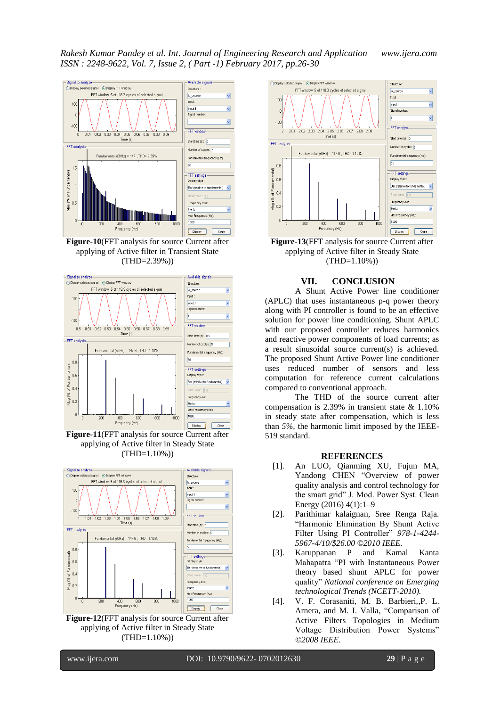*Rakesh Kumar Pandey et al. Int. Journal of Engineering Research and Application www.ijera.com ISSN : 2248-9622, Vol. 7, Issue 2, ( Part -1) February 2017, pp.26-30*



**Figure-10**(FFT analysis for source Current after applying of Active filter in Transient State (THD=2.39%))



**Figure-11**(FFT analysis for source Current after applying of Active filter in Steady State  $(THD=1.10\%)$ 



**Figure-12**(FFT analysis for source Current after applying of Active filter in Steady State  $(THD=1.10\%)$ 



**Figure-13**(FFT analysis for source Current after applying of Active filter in Steady State (THD=1.10%))

### **VII. CONCLUSION**

A Shunt Active Power line conditioner (APLC) that uses instantaneous p-q power theory along with PI controller is found to be an effective solution for power line conditioning. Shunt APLC with our proposed controller reduces harmonics and reactive power components of load currents; as a result sinusoidal source current(s) is achieved. The proposed Shunt Active Power line conditioner uses reduced number of sensors and less computation for reference current calculations compared to conventional approach.

The THD of the source current after compensation is 2.39% in transient state & 1.10% in steady state after compensation, which is less than *5%,* the harmonic limit imposed by the IEEE-519 standard.

#### **REFERENCES**

- [1]. An LUO, Qianming XU, Fujun MA, Yandong CHEN "Overview of power quality analysis and control technology for the smart grid" J. Mod. Power Syst. Clean Energy (2016) 4(1):1–9
- [2]. Parithimar kalaignan, Sree Renga Raja. "Harmonic Elimination By Shunt Active Filter Using PI Controller" *978-1-4244- 5967-4/10/\$26.00 ©2010 IEEE.*
- [3]. Karuppanan P and Kamal Kanta Mahapatra "PI with Instantaneous Power theory based shunt APLC for power quality" *National conference on Emerging technological Trends (NCETT-2010).*
- [4]. V. F. Corasaniti, M. B. Barbieri,*,*P. L. Arnera, and M. I. Valla*,* "Comparison of Active Filters Topologies in Medium Voltage Distribution Power Systems" *©2008 IEEE*.